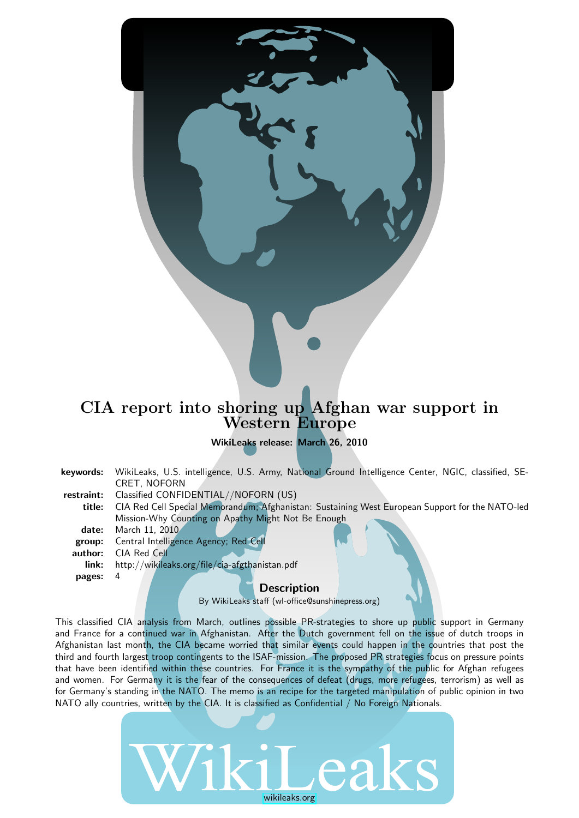## CIA report into shoring up Afghan war support in Western Europe

WikiLeaks release: March 26, 2010

- keywords: WikiLeaks, U.S. intelligence, U.S. Army, National Ground Intelligence Center, NGIC, classified, SE-CRET, NOFORN
- restraint: Classified CONFIDENTIAL//NOFORN (US)
	- title: CIA Red Cell Special Memorandum; Afghanistan: Sustaining West European Support for the NATO-led Mission-Why Counting on Apathy Might Not Be Enough
	- date: March 11, 2010
	- group: Central Intelligence Agency; Red Cell
	- author: CIA Red Cell

pages: 4

link: http://wikileaks.org/file/cia-afgthanistan.pdf

#### **Description**

By WikiLeaks staff (wl-office@sunshinepress.org)

This classified CIA analysis from March, outlines possible PR-strategies to shore up public support in Germany and France for a continued war in Afghanistan. After the Dutch government fell on the issue of dutch troops in Afghanistan last month, the CIA became worried that similar events could happen in the countries that post the third and fourth largest troop contingents to the ISAF-mission. The proposed PR strategies focus on pressure points that have been identified within these countries. For France it is the sympathy of the public for Afghan refugees and women. For Germany it is the fear of the consequences of defeat (drugs, more refugees, terrorism) as well as for Germany's standing in the NATO. The memo is an recipe for the targeted manipulation of public opinion in two NATO ally countries, written by the CIA. It is classified as Confidential / No Foreign Nationals.

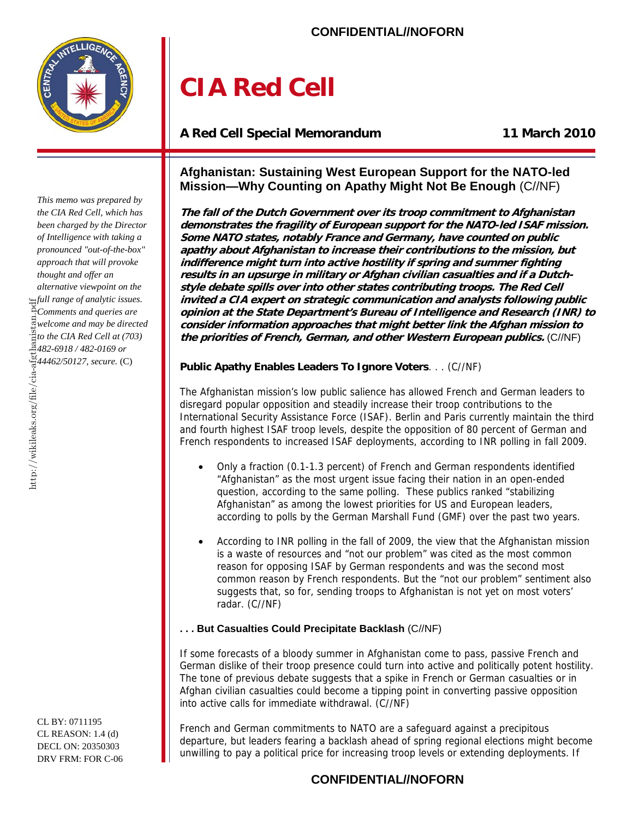**CONFIDENTIAL//NOFORN** 

## **CIA Red Cell**

## **A Red Cell Special Memorandum 11 March 2010**

### **Afghanistan: Sustaining West European Support for the NATO-led Mission—Why Counting on Apathy Might Not Be Enough** (C//NF)

**The fall of the Dutch Government over its troop commitment to Afghanistan demonstrates the fragility of European support for the NATO-led ISAF mission. Some NATO states, notably France and Germany, have counted on public apathy about Afghanistan to increase their contributions to the mission, but indifference might turn into active hostility if spring and summer fighting results in an upsurge in military or Afghan civilian casualties and if a Dutchstyle debate spills over into other states contributing troops. The Red Cell invited a CIA expert on strategic communication and analysts following public opinion at the State Department's Bureau of Intelligence and Research (INR) to consider information approaches that might better link the Afghan mission to the priorities of French, German, and other Western European publics.** (C//NF)

#### **Public Apathy Enables Leaders To Ignore Voters**. . . (C//NF)

The Afghanistan mission's low public salience has allowed French and German leaders to disregard popular opposition and steadily increase their troop contributions to the International Security Assistance Force (ISAF). Berlin and Paris currently maintain the third and fourth highest ISAF troop levels, despite the opposition of 80 percent of German and French respondents to increased ISAF deployments, according to INR polling in fall 2009.

- Only a fraction (0.1-1.3 percent) of French and German respondents identified "Afghanistan" as the most urgent issue facing their nation in an open-ended question, according to the same polling. These publics ranked "stabilizing Afghanistan" as among the lowest priorities for US and European leaders, according to polls by the German Marshall Fund (GMF) over the past two years.
- According to INR polling in the fall of 2009, the view that the Afghanistan mission is a waste of resources and "not our problem" was cited as the most common reason for opposing ISAF by German respondents and was the second most common reason by French respondents. But the "not our problem" sentiment also suggests that, so for, sending troops to Afghanistan is not yet on most voters' radar. (C//NF)

#### **. . . But Casualties Could Precipitate Backlash** (C//NF)

If some forecasts of a bloody summer in Afghanistan come to pass, passive French and German dislike of their troop presence could turn into active and politically potent hostility. The tone of previous debate suggests that a spike in French or German casualties or in Afghan civilian casualties could become a tipping point in converting passive opposition into active calls for immediate withdrawal. (C//NF)

French and German commitments to NATO are a safeguard against a precipitous departure, but leaders fearing a backlash ahead of spring regional elections might become unwilling to pay a political price for increasing troop levels or extending deployments. If

http://wikileaks.org/file/cia-afgthanistan.pdf *This memo was prepared by the CIA Red Cell, which has been charged by the Director of Intelligence with taking a pronounced "out-of-the-box" approach that will provoke thought and offer an alternative viewpoint on the full range of analytic issues. Comments and queries are welcome and may be directed the CIA Red Cell at (703)*<br> *the CIA Red Cell at (703)*<br> *cd482-6918 / 482-0169 or 482-6918 / 482-0169 or 44462/50127, secure.* (C)

CL BY: 0711195 CL REASON: 1.4 (d) DECL ON: 20350303 DRV FRM: FOR C-06

## **CONFIDENTIAL//NOFORN**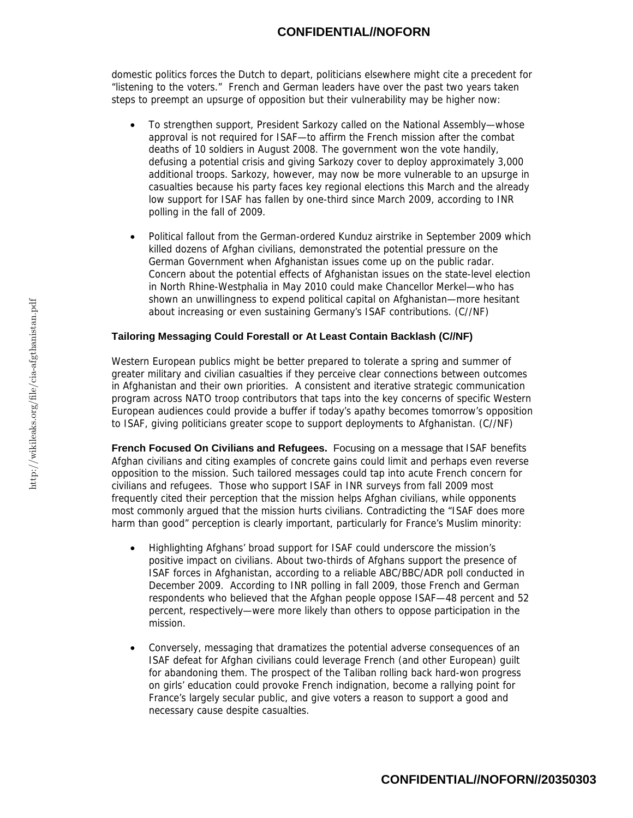domestic politics forces the Dutch to depart, politicians elsewhere might cite a precedent for "listening to the voters." French and German leaders have over the past two years taken steps to preempt an upsurge of opposition but their vulnerability may be higher now:

- To strengthen support, President Sarkozy called on the National Assembly—whose approval is not required for ISAF—to affirm the French mission after the combat deaths of 10 soldiers in August 2008. The government won the vote handily, defusing a potential crisis and giving Sarkozy cover to deploy approximately 3,000 additional troops. Sarkozy, however, may now be more vulnerable to an upsurge in casualties because his party faces key regional elections this March and the already low support for ISAF has fallen by one-third since March 2009, according to INR polling in the fall of 2009.
- Political fallout from the German-ordered Kunduz airstrike in September 2009 which killed dozens of Afghan civilians, demonstrated the potential pressure on the German Government when Afghanistan issues come up on the public radar. Concern about the potential effects of Afghanistan issues on the state-level election in North Rhine-Westphalia in May 2010 could make Chancellor Merkel—who has shown an unwillingness to expend political capital on Afghanistan—more hesitant about increasing or even sustaining Germany's ISAF contributions. (C//NF)

#### **Tailoring Messaging Could Forestall or At Least Contain Backlash (C//NF)**

Western European publics might be better prepared to tolerate a spring and summer of greater military and civilian casualties if they perceive clear connections between outcomes in Afghanistan and their own priorities. A consistent and iterative strategic communication program across NATO troop contributors that taps into the key concerns of specific Western European audiences could provide a buffer if today's apathy becomes tomorrow's opposition to ISAF, giving politicians greater scope to support deployments to Afghanistan. (C//NF)

**French Focused On Civilians and Refugees.** Focusing on a message that ISAF benefits Afghan civilians and citing examples of concrete gains could limit and perhaps even reverse opposition to the mission. Such tailored messages could tap into acute French concern for civilians and refugees. Those who support ISAF in INR surveys from fall 2009 most frequently cited their perception that the mission helps Afghan civilians, while opponents most commonly argued that the mission hurts civilians. Contradicting the "ISAF does more harm than good" perception is clearly important, particularly for France's Muslim minority:

- Highlighting Afghans' broad support for ISAF could underscore the mission's positive impact on civilians. About two-thirds of Afghans support the presence of ISAF forces in Afghanistan, according to a reliable ABC/BBC/ADR poll conducted in December 2009. According to INR polling in fall 2009, those French and German respondents who believed that the Afghan people oppose ISAF—48 percent and 52 percent, respectively—were more likely than others to oppose participation in the mission.
- Conversely, messaging that dramatizes the potential adverse consequences of an ISAF defeat for Afghan civilians could leverage French (and other European) guilt for abandoning them. The prospect of the Taliban rolling back hard-won progress on girls' education could provoke French indignation, become a rallying point for France's largely secular public, and give voters a reason to support a good and necessary cause despite casualties.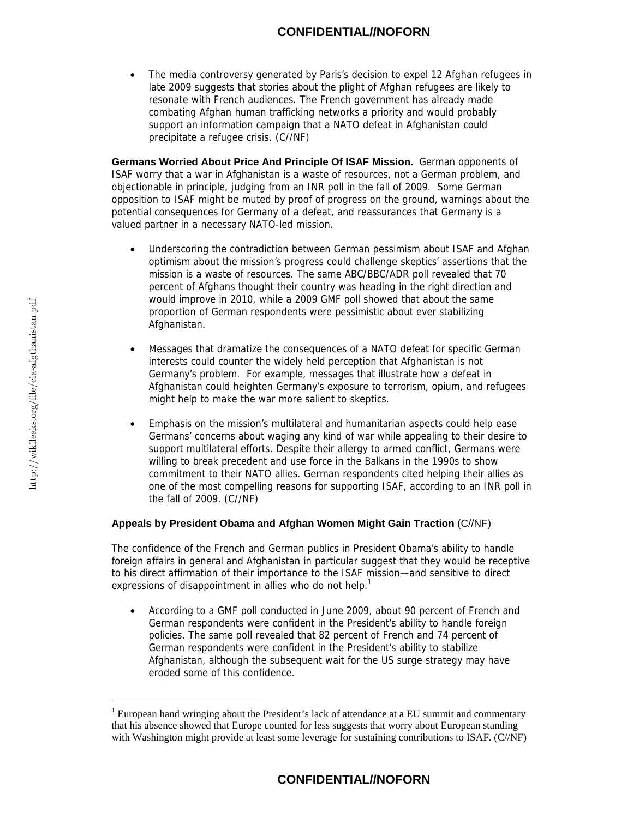#### **CONFIDENTIAL//NOFORN**

• The media controversy generated by Paris's decision to expel 12 Afghan refugees in late 2009 suggests that stories about the plight of Afghan refugees are likely to resonate with French audiences. The French government has already made combating Afghan human trafficking networks a priority and would probably support an information campaign that a NATO defeat in Afghanistan could precipitate a refugee crisis. (C//NF)

**Germans Worried About Price And Principle Of ISAF Mission.** German opponents of ISAF worry that a war in Afghanistan is a waste of resources, not a German problem, and objectionable in principle, judging from an INR poll in the fall of 2009. Some German opposition to ISAF might be muted by proof of progress on the ground, warnings about the potential consequences for Germany of a defeat, and reassurances that Germany is a valued partner in a necessary NATO-led mission.

- Underscoring the contradiction between German pessimism about ISAF and Afghan optimism about the mission's progress could challenge skeptics' assertions that the mission is a waste of resources. The same ABC/BBC/ADR poll revealed that 70 percent of Afghans thought their country was heading in the right direction and would improve in 2010, while a 2009 GMF poll showed that about the same proportion of German respondents were pessimistic about ever stabilizing Afghanistan.
- Messages that dramatize the consequences of a NATO defeat for specific German interests could counter the widely held perception that Afghanistan is not Germany's problem. For example, messages that illustrate how a defeat in Afghanistan could heighten Germany's exposure to terrorism, opium, and refugees might help to make the war more salient to skeptics.
- Emphasis on the mission's multilateral and humanitarian aspects could help ease Germans' concerns about waging any kind of war while appealing to their desire to support multilateral efforts. Despite their allergy to armed conflict, Germans were willing to break precedent and use force in the Balkans in the 1990s to show commitment to their NATO allies. German respondents cited helping their allies as one of the most compelling reasons for supporting ISAF, according to an INR poll in the fall of 2009. (C//NF)

#### **Appeals by President Obama and Afghan Women Might Gain Traction** (C//NF)

The confidence of the French and German publics in President Obama's ability to handle foreign affairs in general and Afghanistan in particular suggest that they would be receptive to his direct affirmation of their importance to the ISAF mission—and sensitive to direct expressions of disappointment in allies who do not help.<sup>1</sup>

• According to a GMF poll conducted in June 2009, about 90 percent of French and German respondents were confident in the President's ability to handle foreign policies. The same poll revealed that 82 percent of French and 74 percent of German respondents were confident in the President's ability to stabilize Afghanistan, although the subsequent wait for the US surge strategy may have eroded some of this confidence.

 $\overline{a}$ 

### **CONFIDENTIAL//NOFORN**

<sup>&</sup>lt;sup>1</sup> European hand wringing about the President's lack of attendance at a EU summit and commentary that his absence showed that Europe counted for less suggests that worry about European standing with Washington might provide at least some leverage for sustaining contributions to ISAF. (C//NF)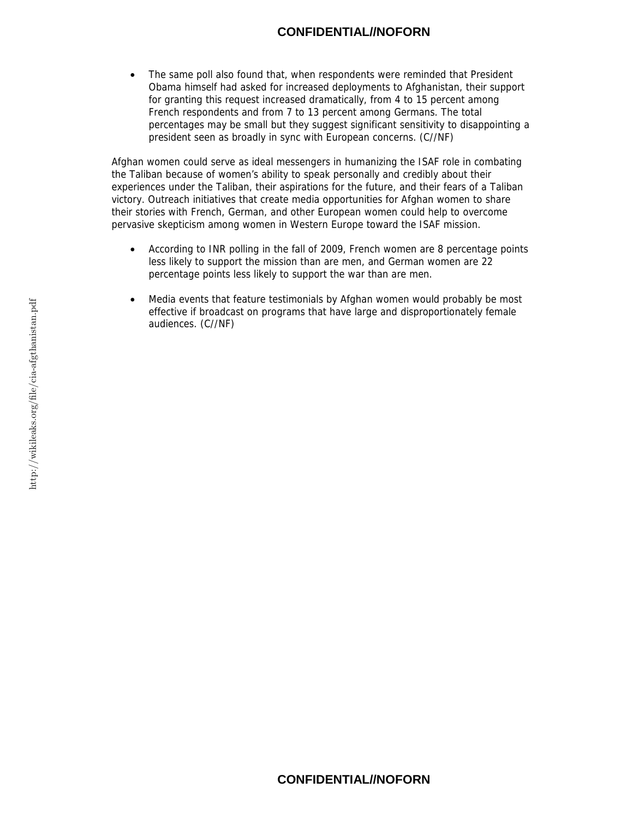#### **CONFIDENTIAL//NOFORN**

The same poll also found that, when respondents were reminded that President Obama himself had asked for increased deployments to Afghanistan, their support for granting this request increased dramatically, from 4 to 15 percent among French respondents and from 7 to 13 percent among Germans. The total percentages may be small but they suggest significant sensitivity to disappointing a president seen as broadly in sync with European concerns. (C//NF)

Afghan women could serve as ideal messengers in humanizing the ISAF role in combating the Taliban because of women's ability to speak personally and credibly about their experiences under the Taliban, their aspirations for the future, and their fears of a Taliban victory. Outreach initiatives that create media opportunities for Afghan women to share their stories with French, German, and other European women could help to overcome pervasive skepticism among women in Western Europe toward the ISAF mission.

- According to INR polling in the fall of 2009, French women are 8 percentage points less likely to support the mission than are men, and German women are 22 percentage points less likely to support the war than are men.
- Media events that feature testimonials by Afghan women would probably be most effective if broadcast on programs that have large and disproportionately female audiences. (C//NF)